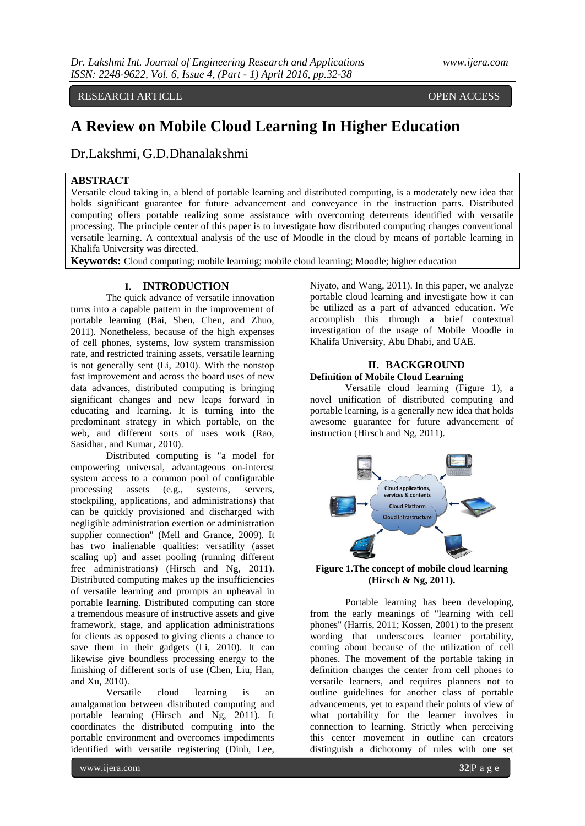RESEARCH ARTICLE **CONSERVERS** OPEN ACCESS

# **A Review on Mobile Cloud Learning In Higher Education**

Dr.Lakshmi, G.D.Dhanalakshmi

## **ABSTRACT**

Versatile cloud taking in, a blend of portable learning and distributed computing, is a moderately new idea that holds significant guarantee for future advancement and conveyance in the instruction parts. Distributed computing offers portable realizing some assistance with overcoming deterrents identified with versatile processing. The principle center of this paper is to investigate how distributed computing changes conventional versatile learning. A contextual analysis of the use of Moodle in the cloud by means of portable learning in Khalifa University was directed.

**Keywords:** Cloud computing; mobile learning; mobile cloud learning; Moodle; higher education

## **I. INTRODUCTION**

The quick advance of versatile innovation turns into a capable pattern in the improvement of portable learning (Bai, Shen, Chen, and Zhuo, 2011). Nonetheless, because of the high expenses of cell phones, systems, low system transmission rate, and restricted training assets, versatile learning is not generally sent (Li, 2010). With the nonstop fast improvement and across the board uses of new data advances, distributed computing is bringing significant changes and new leaps forward in educating and learning. It is turning into the predominant strategy in which portable, on the web, and different sorts of uses work (Rao, Sasidhar, and Kumar, 2010).

Distributed computing is "a model for empowering universal, advantageous on-interest system access to a common pool of configurable processing assets (e.g., systems, servers, stockpiling, applications, and administrations) that can be quickly provisioned and discharged with negligible administration exertion or administration supplier connection" (Mell and Grance, 2009). It has two inalienable qualities: versatility (asset scaling up) and asset pooling (running different free administrations) (Hirsch and Ng, 2011). Distributed computing makes up the insufficiencies of versatile learning and prompts an upheaval in portable learning. Distributed computing can store a tremendous measure of instructive assets and give framework, stage, and application administrations for clients as opposed to giving clients a chance to save them in their gadgets (Li, 2010). It can likewise give boundless processing energy to the finishing of different sorts of use (Chen, Liu, Han, and Xu, 2010).

Versatile cloud learning is an amalgamation between distributed computing and portable learning (Hirsch and Ng, 2011). It coordinates the distributed computing into the portable environment and overcomes impediments identified with versatile registering (Dinh, Lee,

Niyato, and Wang, 2011). In this paper, we analyze portable cloud learning and investigate how it can be utilized as a part of advanced education. We accomplish this through a brief contextual investigation of the usage of Mobile Moodle in Khalifa University, Abu Dhabi, and UAE.

#### **II. BACKGROUND Definition of Mobile Cloud Learning**

Versatile cloud learning (Figure 1), a novel unification of distributed computing and portable learning, is a generally new idea that holds awesome guarantee for future advancement of instruction (Hirsch and Ng, 2011).



**Figure 1.The concept of mobile cloud learning (Hirsch & Ng, 2011).**

Portable learning has been developing, from the early meanings of "learning with cell phones" (Harris, 2011; Kossen, 2001) to the present wording that underscores learner portability, coming about because of the utilization of cell phones. The movement of the portable taking in definition changes the center from cell phones to versatile learners, and requires planners not to outline guidelines for another class of portable advancements, yet to expand their points of view of what portability for the learner involves in connection to learning. Strictly when perceiving this center movement in outline can creators distinguish a dichotomy of rules with one set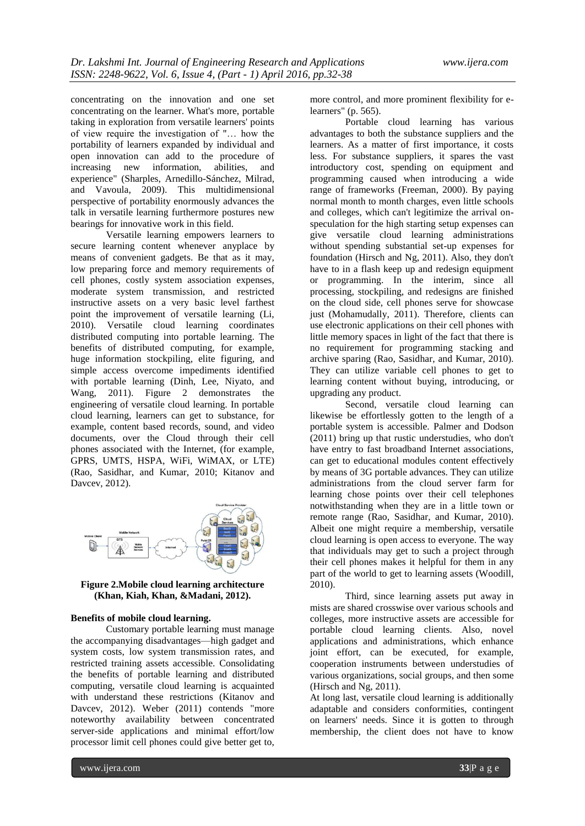concentrating on the innovation and one set concentrating on the learner. What's more, portable taking in exploration from versatile learners' points of view require the investigation of "… how the portability of learners expanded by individual and open innovation can add to the procedure of increasing new information, abilities, and experience" (Sharples, Arnedillo-Sánchez, Milrad, and Vavoula, 2009). This multidimensional perspective of portability enormously advances the talk in versatile learning furthermore postures new bearings for innovative work in this field.

Versatile learning empowers learners to secure learning content whenever anyplace by means of convenient gadgets. Be that as it may, low preparing force and memory requirements of cell phones, costly system association expenses, moderate system transmission, and restricted instructive assets on a very basic level farthest point the improvement of versatile learning (Li, 2010). Versatile cloud learning coordinates distributed computing into portable learning. The benefits of distributed computing, for example, huge information stockpiling, elite figuring, and simple access overcome impediments identified with portable learning (Dinh, Lee, Niyato, and Wang, 2011). Figure 2 demonstrates the engineering of versatile cloud learning. In portable cloud learning, learners can get to substance, for example, content based records, sound, and video documents, over the Cloud through their cell phones associated with the Internet, (for example, GPRS, UMTS, HSPA, WiFi, WiMAX, or LTE) (Rao, Sasidhar, and Kumar, 2010; Kitanov and Davcev, 2012).



#### **Figure 2.Mobile cloud learning architecture (Khan, Kiah, Khan, &Madani, 2012).**

#### **Benefits of mobile cloud learning.**

Customary portable learning must manage the accompanying disadvantages—high gadget and system costs, low system transmission rates, and restricted training assets accessible. Consolidating the benefits of portable learning and distributed computing, versatile cloud learning is acquainted with understand these restrictions (Kitanov and Davcey, 2012). Weber (2011) contends "more noteworthy availability between concentrated server-side applications and minimal effort/low processor limit cell phones could give better get to,

more control, and more prominent flexibility for elearners" (p. 565).

Portable cloud learning has various advantages to both the substance suppliers and the learners. As a matter of first importance, it costs less. For substance suppliers, it spares the vast introductory cost, spending on equipment and programming caused when introducing a wide range of frameworks (Freeman, 2000). By paying normal month to month charges, even little schools and colleges, which can't legitimize the arrival onspeculation for the high starting setup expenses can give versatile cloud learning administrations without spending substantial set-up expenses for foundation (Hirsch and Ng, 2011). Also, they don't have to in a flash keep up and redesign equipment or programming. In the interim, since all processing, stockpiling, and redesigns are finished on the cloud side, cell phones serve for showcase just (Mohamudally, 2011). Therefore, clients can use electronic applications on their cell phones with little memory spaces in light of the fact that there is no requirement for programming stacking and archive sparing (Rao, Sasidhar, and Kumar, 2010). They can utilize variable cell phones to get to learning content without buying, introducing, or upgrading any product.

Second, versatile cloud learning can likewise be effortlessly gotten to the length of a portable system is accessible. Palmer and Dodson (2011) bring up that rustic understudies, who don't have entry to fast broadband Internet associations, can get to educational modules content effectively by means of 3G portable advances. They can utilize administrations from the cloud server farm for learning chose points over their cell telephones notwithstanding when they are in a little town or remote range (Rao, Sasidhar, and Kumar, 2010). Albeit one might require a membership, versatile cloud learning is open access to everyone. The way that individuals may get to such a project through their cell phones makes it helpful for them in any part of the world to get to learning assets (Woodill, 2010).

Third, since learning assets put away in mists are shared crosswise over various schools and colleges, more instructive assets are accessible for portable cloud learning clients. Also, novel applications and administrations, which enhance joint effort, can be executed, for example, cooperation instruments between understudies of various organizations, social groups, and then some (Hirsch and Ng, 2011).

At long last, versatile cloud learning is additionally adaptable and considers conformities, contingent on learners' needs. Since it is gotten to through membership, the client does not have to know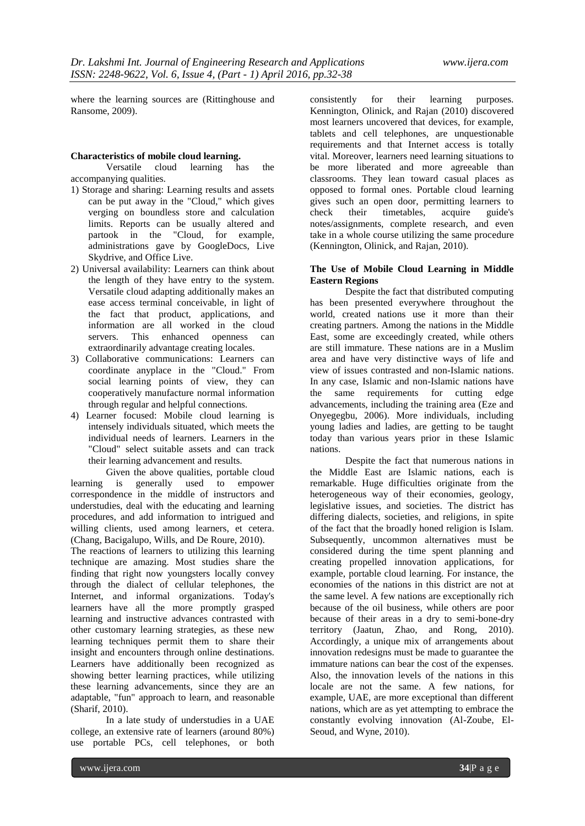where the learning sources are (Rittinghouse and Ransome, 2009).

#### **Characteristics of mobile cloud learning.**

Versatile cloud learning has the accompanying qualities.

- 1) Storage and sharing: Learning results and assets can be put away in the "Cloud," which gives verging on boundless store and calculation limits. Reports can be usually altered and partook in the "Cloud, for example, administrations gave by GoogleDocs, Live Skydrive, and Office Live.
- 2) Universal availability: Learners can think about the length of they have entry to the system. Versatile cloud adapting additionally makes an ease access terminal conceivable, in light of the fact that product, applications, and information are all worked in the cloud servers. This enhanced openness can extraordinarily advantage creating locales.
- 3) Collaborative communications: Learners can coordinate anyplace in the "Cloud." From social learning points of view, they can cooperatively manufacture normal information through regular and helpful connections.
- 4) Learner focused: Mobile cloud learning is intensely individuals situated, which meets the individual needs of learners. Learners in the "Cloud" select suitable assets and can track their learning advancement and results.

Given the above qualities, portable cloud learning is generally used to empower correspondence in the middle of instructors and understudies, deal with the educating and learning procedures, and add information to intrigued and willing clients, used among learners, et cetera. (Chang, Bacigalupo, Wills, and De Roure, 2010).

The reactions of learners to utilizing this learning technique are amazing. Most studies share the finding that right now youngsters locally convey through the dialect of cellular telephones, the Internet, and informal organizations. Today's learners have all the more promptly grasped learning and instructive advances contrasted with other customary learning strategies, as these new learning techniques permit them to share their insight and encounters through online destinations. Learners have additionally been recognized as showing better learning practices, while utilizing these learning advancements, since they are an adaptable, "fun" approach to learn, and reasonable (Sharif, 2010).

In a late study of understudies in a UAE college, an extensive rate of learners (around 80%) use portable PCs, cell telephones, or both

consistently for their learning purposes. Kennington, Olinick, and Rajan (2010) discovered most learners uncovered that devices, for example, tablets and cell telephones, are unquestionable requirements and that Internet access is totally vital. Moreover, learners need learning situations to be more liberated and more agreeable than classrooms. They lean toward casual places as opposed to formal ones. Portable cloud learning gives such an open door, permitting learners to check their timetables, acquire guide's notes/assignments, complete research, and even take in a whole course utilizing the same procedure (Kennington, Olinick, and Rajan, 2010).

#### **The Use of Mobile Cloud Learning in Middle Eastern Regions**

Despite the fact that distributed computing has been presented everywhere throughout the world, created nations use it more than their creating partners. Among the nations in the Middle East, some are exceedingly created, while others are still immature. These nations are in a Muslim area and have very distinctive ways of life and view of issues contrasted and non-Islamic nations. In any case, Islamic and non-Islamic nations have the same requirements for cutting edge advancements, including the training area (Eze and Onyegegbu, 2006). More individuals, including young ladies and ladies, are getting to be taught today than various years prior in these Islamic nations.

Despite the fact that numerous nations in the Middle East are Islamic nations, each is remarkable. Huge difficulties originate from the heterogeneous way of their economies, geology, legislative issues, and societies. The district has differing dialects, societies, and religions, in spite of the fact that the broadly honed religion is Islam. Subsequently, uncommon alternatives must be considered during the time spent planning and creating propelled innovation applications, for example, portable cloud learning. For instance, the economies of the nations in this district are not at the same level. A few nations are exceptionally rich because of the oil business, while others are poor because of their areas in a dry to semi-bone-dry territory (Jaatun, Zhao, and Rong, 2010). Accordingly, a unique mix of arrangements about innovation redesigns must be made to guarantee the immature nations can bear the cost of the expenses. Also, the innovation levels of the nations in this locale are not the same. A few nations, for example, UAE, are more exceptional than different nations, which are as yet attempting to embrace the constantly evolving innovation (Al-Zoube, El-Seoud, and Wyne, 2010).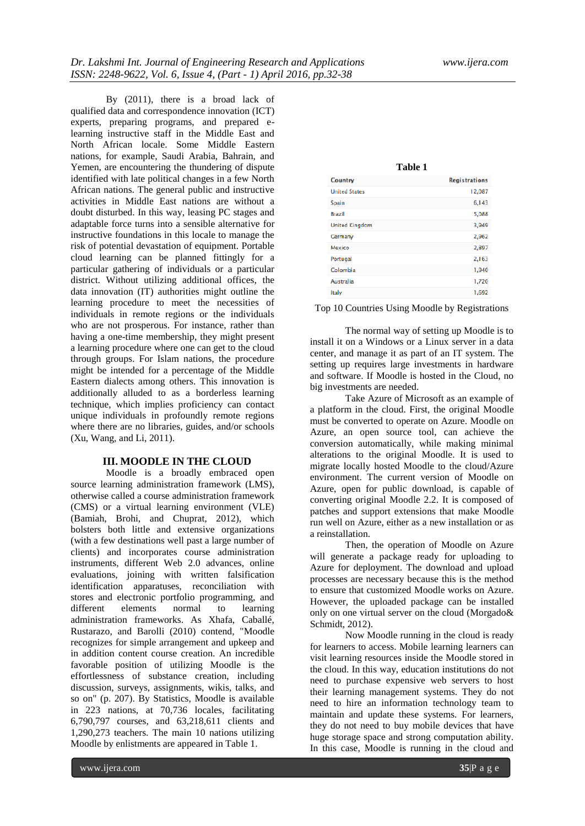By (2011), there is a broad lack of qualified data and correspondence innovation (ICT) experts, preparing programs, and prepared elearning instructive staff in the Middle East and North African locale. Some Middle Eastern nations, for example, Saudi Arabia, Bahrain, and Yemen, are encountering the thundering of dispute identified with late political changes in a few North African nations. The general public and instructive activities in Middle East nations are without a doubt disturbed. In this way, leasing PC stages and adaptable force turns into a sensible alternative for instructive foundations in this locale to manage the risk of potential devastation of equipment. Portable cloud learning can be planned fittingly for a particular gathering of individuals or a particular district. Without utilizing additional offices, the data innovation (IT) authorities might outline the learning procedure to meet the necessities of individuals in remote regions or the individuals who are not prosperous. For instance, rather than having a one-time membership, they might present a learning procedure where one can get to the cloud through groups. For Islam nations, the procedure might be intended for a percentage of the Middle Eastern dialects among others. This innovation is additionally alluded to as a borderless learning technique, which implies proficiency can contact unique individuals in profoundly remote regions where there are no libraries, guides, and/or schools (Xu, Wang, and Li, 2011).

### **III. MOODLE IN THE CLOUD**

Moodle is a broadly embraced open source learning administration framework (LMS), otherwise called a course administration framework (CMS) or a virtual learning environment (VLE) (Bamiah, Brohi, and Chuprat, 2012), which bolsters both little and extensive organizations (with a few destinations well past a large number of clients) and incorporates course administration instruments, different Web 2.0 advances, online evaluations, joining with written falsification identification apparatuses, reconciliation with stores and electronic portfolio programming, and different elements normal to learning administration frameworks. As Xhafa, Caballé, Rustarazo, and Barolli (2010) contend, "Moodle recognizes for simple arrangement and upkeep and in addition content course creation. An incredible favorable position of utilizing Moodle is the effortlessness of substance creation, including discussion, surveys, assignments, wikis, talks, and so on" (p. 207). By Statistics, Moodle is available in 223 nations, at 70,736 locales, facilitating 6,790,797 courses, and 63,218,611 clients and 1,290,273 teachers. The main 10 nations utilizing Moodle by enlistments are appeared in Table 1.

| Table 1               |                      |
|-----------------------|----------------------|
| <b>Country</b>        | <b>Registrations</b> |
| <b>United States</b>  | 12,087               |
| Spain                 | 6,143                |
| <b>Brazil</b>         | 5,088                |
| <b>United Kingdom</b> | 3,949                |
| Germany               | 2,962                |
| Mexico                | 2,897                |
| Portugal              | 2,163                |
| Colombia              | 1,940                |
| Australia             | 1,720                |
| Italy                 | 1,692                |
|                       |                      |

Top 10 Countries Using Moodle by Registrations

The normal way of setting up Moodle is to install it on a Windows or a Linux server in a data center, and manage it as part of an IT system. The setting up requires large investments in hardware and software. If Moodle is hosted in the Cloud, no big investments are needed.

Take Azure of Microsoft as an example of a platform in the cloud. First, the original Moodle must be converted to operate on Azure. Moodle on Azure, an open source tool, can achieve the conversion automatically, while making minimal alterations to the original Moodle. It is used to migrate locally hosted Moodle to the cloud/Azure environment. The current version of Moodle on Azure, open for public download, is capable of converting original Moodle 2.2. It is composed of patches and support extensions that make Moodle run well on Azure, either as a new installation or as a reinstallation.

Then, the operation of Moodle on Azure will generate a package ready for uploading to Azure for deployment. The download and upload processes are necessary because this is the method to ensure that customized Moodle works on Azure. However, the uploaded package can be installed only on one virtual server on the cloud (Morgado& Schmidt, 2012).

Now Moodle running in the cloud is ready for learners to access. Mobile learning learners can visit learning resources inside the Moodle stored in the cloud. In this way, education institutions do not need to purchase expensive web servers to host their learning management systems. They do not need to hire an information technology team to maintain and update these systems. For learners, they do not need to buy mobile devices that have huge storage space and strong computation ability. In this case, Moodle is running in the cloud and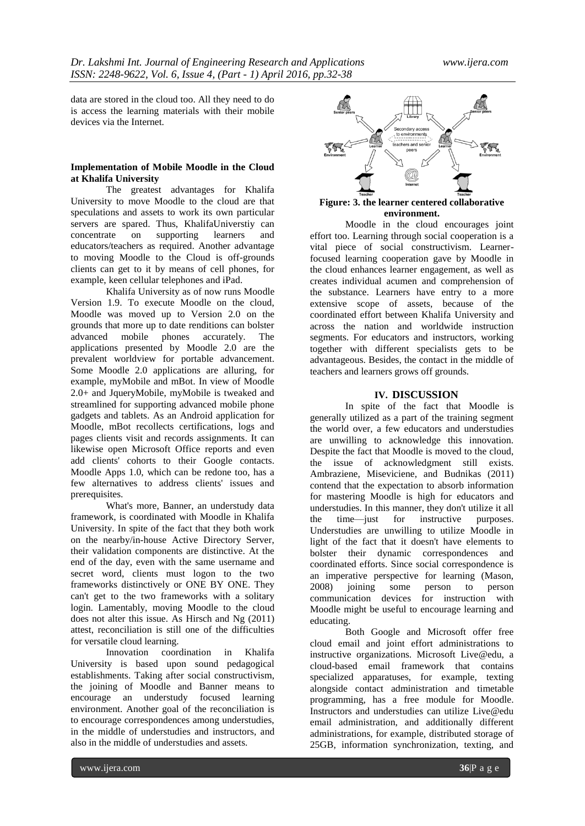data are stored in the cloud too. All they need to do is access the learning materials with their mobile devices via the Internet.

#### **Implementation of Mobile Moodle in the Cloud at Khalifa University**

The greatest advantages for Khalifa University to move Moodle to the cloud are that speculations and assets to work its own particular servers are spared. Thus, KhalifaUniverstiy can<br>concentrate on supporting learners and on supporting learners and educators/teachers as required. Another advantage to moving Moodle to the Cloud is off-grounds clients can get to it by means of cell phones, for example, keen cellular telephones and iPad.

Khalifa University as of now runs Moodle Version 1.9. To execute Moodle on the cloud, Moodle was moved up to Version 2.0 on the grounds that more up to date renditions can bolster advanced mobile phones accurately. The applications presented by Moodle 2.0 are the prevalent worldview for portable advancement. Some Moodle 2.0 applications are alluring, for example, myMobile and mBot. In view of Moodle 2.0+ and JqueryMobile, myMobile is tweaked and streamlined for supporting advanced mobile phone gadgets and tablets. As an Android application for Moodle, mBot recollects certifications, logs and pages clients visit and records assignments. It can likewise open Microsoft Office reports and even add clients' cohorts to their Google contacts. Moodle Apps 1.0, which can be redone too, has a few alternatives to address clients' issues and prerequisites.

What's more, Banner, an understudy data framework, is coordinated with Moodle in Khalifa University. In spite of the fact that they both work on the nearby/in-house Active Directory Server, their validation components are distinctive. At the end of the day, even with the same username and secret word, clients must logon to the two frameworks distinctively or ONE BY ONE. They can't get to the two frameworks with a solitary login. Lamentably, moving Moodle to the cloud does not alter this issue. As Hirsch and Ng (2011) attest, reconciliation is still one of the difficulties for versatile cloud learning.

Innovation coordination in Khalifa University is based upon sound pedagogical establishments. Taking after social constructivism, the joining of Moodle and Banner means to encourage an understudy focused learning environment. Another goal of the reconciliation is to encourage correspondences among understudies, in the middle of understudies and instructors, and also in the middle of understudies and assets.



#### **Figure: 3. the learner centered collaborative environment.**

Moodle in the cloud encourages joint effort too. Learning through social cooperation is a vital piece of social constructivism. Learnerfocused learning cooperation gave by Moodle in the cloud enhances learner engagement, as well as creates individual acumen and comprehension of the substance. Learners have entry to a more extensive scope of assets, because of the coordinated effort between Khalifa University and across the nation and worldwide instruction segments. For educators and instructors, working together with different specialists gets to be advantageous. Besides, the contact in the middle of teachers and learners grows off grounds.

#### **IV. DISCUSSION**

In spite of the fact that Moodle is generally utilized as a part of the training segment the world over, a few educators and understudies are unwilling to acknowledge this innovation. Despite the fact that Moodle is moved to the cloud, the issue of acknowledgment still exists. Ambraziene, Miseviciene, and Budnikas (2011) contend that the expectation to absorb information for mastering Moodle is high for educators and understudies. In this manner, they don't utilize it all the time—just for instructive purposes. Understudies are unwilling to utilize Moodle in light of the fact that it doesn't have elements to bolster their dynamic correspondences and coordinated efforts. Since social correspondence is an imperative perspective for learning (Mason, 2008) joining some person to person communication devices for instruction with Moodle might be useful to encourage learning and educating.

Both Google and Microsoft offer free cloud email and joint effort administrations to instructive organizations. Microsoft Live@edu, a cloud-based email framework that contains specialized apparatuses, for example, texting alongside contact administration and timetable programming, has a free module for Moodle. Instructors and understudies can utilize Live@edu email administration, and additionally different administrations, for example, distributed storage of 25GB, information synchronization, texting, and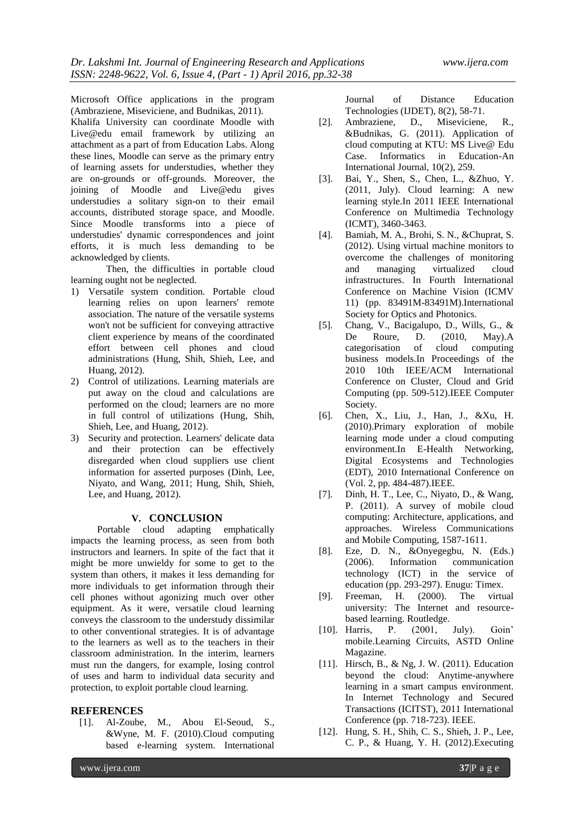Microsoft Office applications in the program (Ambraziene, Miseviciene, and Budnikas, 2011). Khalifa University can coordinate Moodle with Live@edu email framework by utilizing an attachment as a part of from Education Labs. Along these lines, Moodle can serve as the primary entry of learning assets for understudies, whether they are on-grounds or off-grounds. Moreover, the joining of Moodle and Live@edu gives understudies a solitary sign-on to their email accounts, distributed storage space, and Moodle. Since Moodle transforms into a piece of understudies' dynamic correspondences and joint efforts, it is much less demanding to be acknowledged by clients.

Then, the difficulties in portable cloud learning ought not be neglected.

- 1) Versatile system condition. Portable cloud learning relies on upon learners' remote association. The nature of the versatile systems won't not be sufficient for conveying attractive client experience by means of the coordinated effort between cell phones and cloud administrations (Hung, Shih, Shieh, Lee, and Huang, 2012).
- 2) Control of utilizations. Learning materials are put away on the cloud and calculations are performed on the cloud; learners are no more in full control of utilizations (Hung, Shih, Shieh, Lee, and Huang, 2012).
- 3) Security and protection. Learners' delicate data and their protection can be effectively disregarded when cloud suppliers use client information for asserted purposes (Dinh, Lee, Niyato, and Wang, 2011; Hung, Shih, Shieh, Lee, and Huang, 2012).

#### **V. CONCLUSION**

Portable cloud adapting emphatically impacts the learning process, as seen from both instructors and learners. In spite of the fact that it might be more unwieldy for some to get to the system than others, it makes it less demanding for more individuals to get information through their cell phones without agonizing much over other equipment. As it were, versatile cloud learning conveys the classroom to the understudy dissimilar to other conventional strategies. It is of advantage to the learners as well as to the teachers in their classroom administration. In the interim, learners must run the dangers, for example, losing control of uses and harm to individual data security and protection, to exploit portable cloud learning.

#### **REFERENCES**

[1]. Al-Zoube, M., Abou El-Seoud, S., &Wyne, M. F. (2010).Cloud computing based e-learning system. International

Journal of Distance Education Technologies (IJDET), 8(2), 58-71.

- [2]. Ambraziene, D., Miseviciene, R., &Budnikas, G. (2011). Application of cloud computing at KTU: MS Live@ Edu Case. Informatics in Education-An International Journal, 10(2), 259.
- [3]. Bai, Y., Shen, S., Chen, L., &Zhuo, Y. (2011, July). Cloud learning: A new learning style.In 2011 IEEE International Conference on Multimedia Technology (ICMT), 3460-3463.
- [4]. Bamiah, M. A., Brohi, S. N., &Chuprat, S. (2012). Using virtual machine monitors to overcome the challenges of monitoring and managing virtualized cloud infrastructures. In Fourth International Conference on Machine Vision (ICMV 11) (pp. 83491M-83491M).International Society for Optics and Photonics.
- [5]. Chang, V., Bacigalupo, D., Wills, G., & De Roure, D. (2010, May).A categorisation of cloud computing business models.In Proceedings of the 2010 10th IEEE/ACM International Conference on Cluster, Cloud and Grid Computing (pp. 509-512).IEEE Computer Society.
- [6]. Chen, X., Liu, J., Han, J., &Xu, H. (2010).Primary exploration of mobile learning mode under a cloud computing environment.In E-Health Networking, Digital Ecosystems and Technologies (EDT), 2010 International Conference on (Vol. 2, pp. 484-487).IEEE.
- [7]. Dinh, H. T., Lee, C., Niyato, D., & Wang, P. (2011). A survey of mobile cloud computing: Architecture, applications, and approaches. Wireless Communications and Mobile Computing, 1587-1611.
- [8]. Eze, D. N., &Onyegegbu, N. (Eds.) (2006). Information communication technology (ICT) in the service of education (pp. 293-297). Enugu: Timex.
- [9]. Freeman, H. (2000). The virtual university: The Internet and resourcebased learning. Routledge.
- [10]. Harris, P. (2001, July). Goin' mobile.Learning Circuits, ASTD Online Magazine.
- [11]. Hirsch, B., & Ng, J. W. (2011). Education beyond the cloud: Anytime-anywhere learning in a smart campus environment. In Internet Technology and Secured Transactions (ICITST), 2011 International Conference (pp. 718-723). IEEE.
- [12]. Hung, S. H., Shih, C. S., Shieh, J. P., Lee, C. P., & Huang, Y. H. (2012).Executing